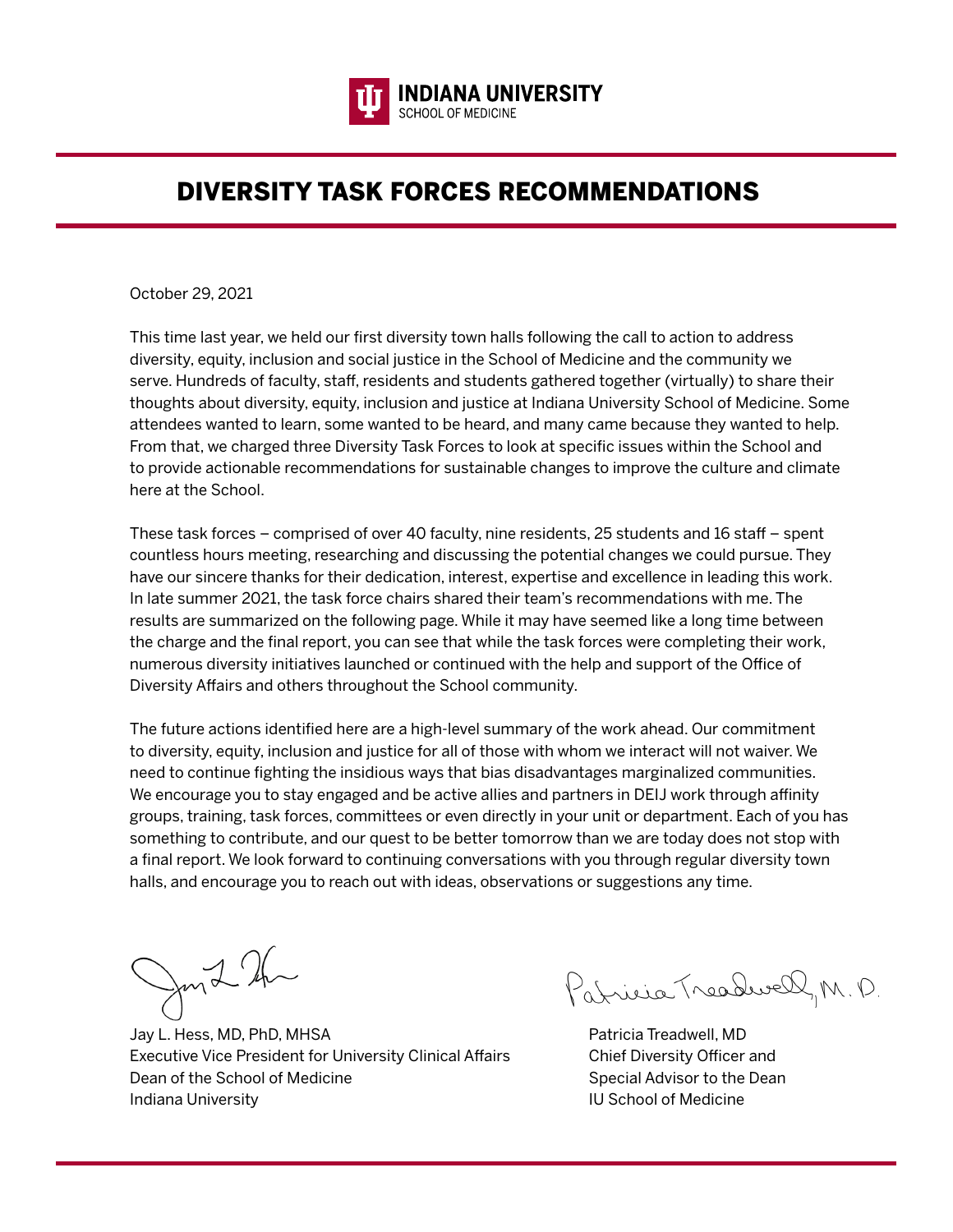

# DIVERSITY TASK FORCES RECOMMENDATIONS

October 29, 2021

This time last year, we held our first diversity town halls following the call to action to address diversity, equity, inclusion and social justice in the School of Medicine and the community we serve. Hundreds of faculty, staff, residents and students gathered together (virtually) to share their thoughts about diversity, equity, inclusion and justice at Indiana University School of Medicine. Some attendees wanted to learn, some wanted to be heard, and many came because they wanted to help. From that, we charged three Diversity Task Forces to look at specific issues within the School and to provide actionable recommendations for sustainable changes to improve the culture and climate here at the School.

These task forces – comprised of over 40 faculty, nine residents, 25 students and 16 staff – spent countless hours meeting, researching and discussing the potential changes we could pursue. They have our sincere thanks for their dedication, interest, expertise and excellence in leading this work. In late summer 2021, the task force chairs shared their team's recommendations with me. The results are summarized on the following page. While it may have seemed like a long time between the charge and the final report, you can see that while the task forces were completing their work, numerous diversity initiatives launched or continued with the help and support of the Office of Diversity Affairs and others throughout the School community.

The future actions identified here are a high-level summary of the work ahead. Our commitment to diversity, equity, inclusion and justice for all of those with whom we interact will not waiver. We need to continue fighting the insidious ways that bias disadvantages marginalized communities. We encourage you to stay engaged and be active allies and partners in DEIJ work through affinity groups, training, task forces, committees or even directly in your unit or department. Each of you has something to contribute, and our quest to be better tomorrow than we are today does not stop with a final report. We look forward to continuing conversations with you through regular diversity town halls, and encourage you to reach out with ideas, observations or suggestions any time.

fond 2h

Jay L. Hess, MD, PhD, MHSA **Patricia Treadwell**, MD Executive Vice President for University Clinical Affairs Chief Diversity Officer and Dean of the School of Medicine Special Advisor to the Dean Special Advisor to the Dean Indiana University **III School of Medicine** III School of Medicine

Patricia Treadwell, M. D.